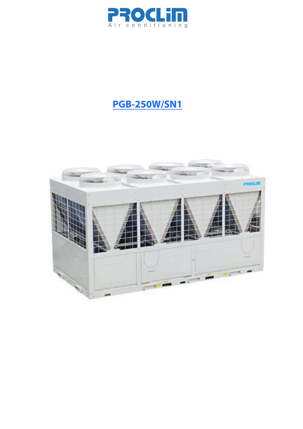

# **PGB-250W/SN1**

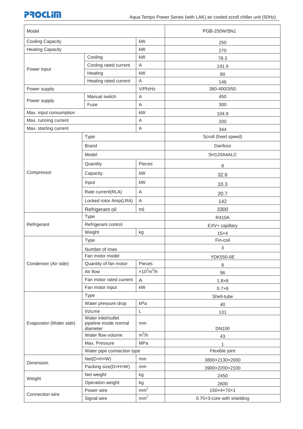## **PROCLIM**

| Model                   |                                                          |                                 | PGB-250W/SN1               |  |  |  |
|-------------------------|----------------------------------------------------------|---------------------------------|----------------------------|--|--|--|
| <b>Cooling Capacity</b> |                                                          | kW                              | 250                        |  |  |  |
| <b>Heating Capacity</b> |                                                          | kW                              | 270                        |  |  |  |
|                         | Cooling                                                  | kW                              | 78.3                       |  |  |  |
|                         | Cooling rated current                                    | A                               | 141.9                      |  |  |  |
| Power input             | Heating                                                  | kW                              | 80                         |  |  |  |
|                         | Heating rated current                                    | A                               | 146                        |  |  |  |
| Power supply            |                                                          | V/Ph/Hz                         | 380-400/3/50               |  |  |  |
|                         | Manual switch                                            | A                               | 450                        |  |  |  |
| Power supply            | Fuse                                                     | Α                               | 300                        |  |  |  |
| Max. input consumption  |                                                          | kW                              | 104.9                      |  |  |  |
| Max. running current    |                                                          | A                               | 200                        |  |  |  |
| Max. starting current   |                                                          | $\mathsf A$                     | 344                        |  |  |  |
|                         | Type                                                     |                                 | Scroll (fixed speed)       |  |  |  |
|                         | <b>Brand</b>                                             |                                 | Danfoss                    |  |  |  |
|                         | Model                                                    |                                 | SH120A4ALC                 |  |  |  |
|                         | Quantity                                                 | Pieces                          | 8                          |  |  |  |
| Compressor              | Capacity                                                 | kW                              | 32.6                       |  |  |  |
|                         | Input                                                    | kW                              | 10.3                       |  |  |  |
|                         | Rate current(RLA)                                        | A                               | 20.7                       |  |  |  |
|                         | Locked rotor Amp(LRA)                                    | $\mathsf A$                     | 142                        |  |  |  |
|                         | Refrigerant oil                                          | ml                              | 3300                       |  |  |  |
|                         | <b>Type</b>                                              |                                 | <b>R410A</b>               |  |  |  |
| Refrigerant             | Refrigerant control                                      |                                 | EXV+ capillary             |  |  |  |
|                         | Weight                                                   | kg                              | $15\times4$                |  |  |  |
|                         | <b>Type</b>                                              |                                 | Fin-coil                   |  |  |  |
|                         | Number of rows                                           |                                 | 3                          |  |  |  |
|                         | Fan motor model                                          |                                 | <b>YDK550-6E</b>           |  |  |  |
| Condenser (Air side)    | Quantity of fan motor                                    | Pieces                          | 8                          |  |  |  |
|                         | Air flow                                                 | $\times 10^3$ m <sup>3</sup> /h | 96                         |  |  |  |
|                         | Fan motor rated current                                  | A                               | $1.8\times8$               |  |  |  |
|                         | Fan motor input                                          | kW                              | $0.7\times8$               |  |  |  |
|                         | Type                                                     |                                 | Shell-tube                 |  |  |  |
| Evaporator (Water side) | Water pressure drop                                      | kPa                             | 40                         |  |  |  |
|                         | Volume                                                   | L                               | 131                        |  |  |  |
|                         | Water inlet/outlet<br>pipeline inside normal<br>diameter | mm                              | <b>DN100</b>               |  |  |  |
|                         | Water flow volume                                        | $m^3/h$                         | 43                         |  |  |  |
|                         | Max. Pressure                                            | <b>MPa</b>                      |                            |  |  |  |
|                         | Water pipe connection type                               |                                 | Flexible joint             |  |  |  |
| Dimension               | Net(DxHxW)                                               | mm                              | 3800×2130×2000             |  |  |  |
|                         | Packing size(DxHxW)                                      | mm                              | 3900×2200×2100             |  |  |  |
|                         | Net weight                                               | kg                              | 2450                       |  |  |  |
| Weight                  | Operation weight                                         | kg                              | 2600                       |  |  |  |
|                         | Power wire                                               | mm <sup>2</sup>                 | 150×4+70×1                 |  |  |  |
| Connection wire         | Signal wire                                              | mm <sup>2</sup>                 | 0.75x3-core with shielding |  |  |  |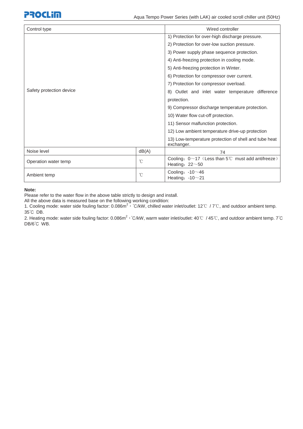# **PROCLIM**

| Control type                    | Wired controller |                                                                                      |  |  |  |  |
|---------------------------------|------------------|--------------------------------------------------------------------------------------|--|--|--|--|
| Safety protection device        |                  | 1) Protection for over-high discharge pressure.                                      |  |  |  |  |
|                                 |                  | 2) Protection for over-low suction pressure.                                         |  |  |  |  |
|                                 |                  | 3) Power supply phase sequence protection.                                           |  |  |  |  |
|                                 |                  | 4) Anti-freezing protection in cooling mode.                                         |  |  |  |  |
|                                 |                  | 5) Anti-freezing protection in Winter.                                               |  |  |  |  |
|                                 |                  | 6) Protection for compressor over current.                                           |  |  |  |  |
|                                 |                  | 7) Protection for compressor overload.                                               |  |  |  |  |
|                                 |                  | 8) Outlet and inlet water temperature difference                                     |  |  |  |  |
|                                 |                  |                                                                                      |  |  |  |  |
|                                 |                  | 9) Compressor discharge temperature protection.                                      |  |  |  |  |
|                                 |                  | 10) Water flow cut-off protection.                                                   |  |  |  |  |
|                                 |                  | 11) Sensor malfunction protection.                                                   |  |  |  |  |
|                                 |                  | 12) Low ambient temperature drive-up protection                                      |  |  |  |  |
|                                 |                  | 13) Low-temperature protection of shell and tube heat<br>exchanger.                  |  |  |  |  |
| Noise level                     | dB(A)            | 74                                                                                   |  |  |  |  |
| Operation water temp            | $^{\circ}$ C     | Cooling: $0 \sim 17$ (Less than $5^{\circ}$ must add antifreeze)<br>Heating: $22~50$ |  |  |  |  |
| $\rm ^{\circ}C$<br>Ambient temp |                  | Cooling: $-10^\sim 46$<br>Heating: $-10^\sim 21$                                     |  |  |  |  |

#### **Note:**

Please refer to the water flow in the above table strictly to design and install.

All the above data is measured base on the following working condition:

1. Cooling mode: water side fouling factor: 0.086m<sup>2</sup>  $\cdot$  °C/kW, chilled water inlet/outlet: 12°C /7°C, and outdoor ambient temp. 35°C DB.

2. Heating mode: water side fouling factor: 0.086m<sup>2</sup> · °C/kW, warm water inlet/outlet: 40°C / 45°C, and outdoor ambient temp. 7°C DB/6°C WB.